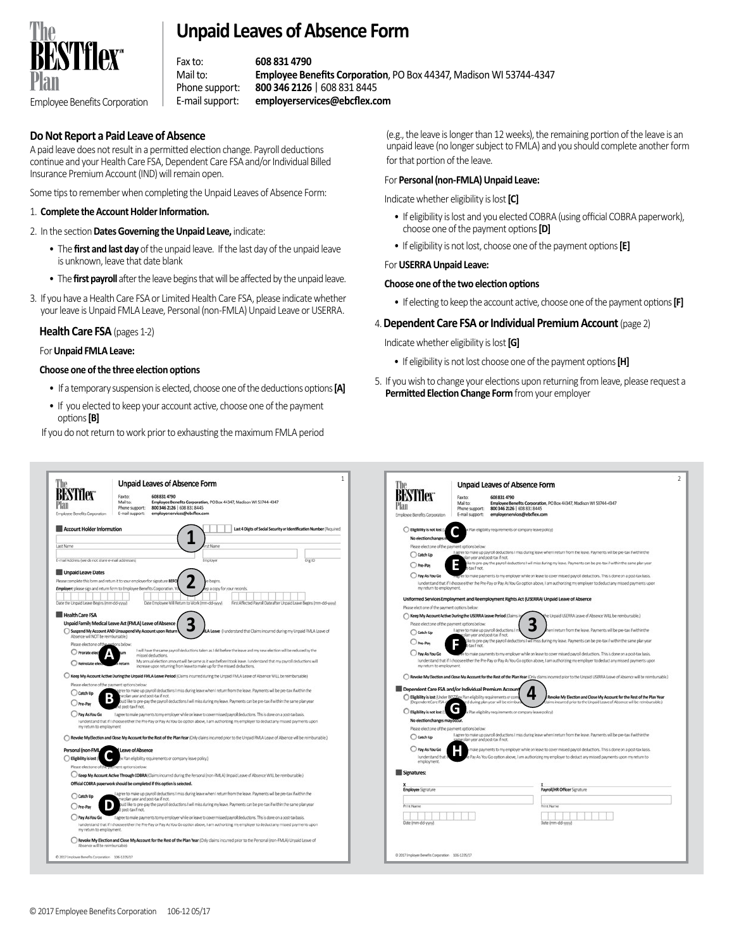

## **Unpaid Leaves of Absence Form**

Fax to: **608 831 4790**  Mail to: **Employee Benefits Corporation**, PO Box 44347, Madison WI 53744-4347 Phone support: **800 346 2126** | 608 831 8445 Employee Benefits Corporation E-mail support: **employerservices@ebcflex.com**

## **Do Not Report a Paid Leave of Absence**

A paid leave does not result in a permitted election change. Payroll deductions continue and your Health Care FSA, Dependent Care FSA and/or Individual Billed Insurance Premium Account (IND) will remain open.

Some tips to remember when completing the Unpaid Leaves of Absence Form:

#### 1. **Complete the Account Holder Information.**

#### 2. In the section **Dates Governing the Unpaid Leave,** indicate:

- •The **first and last day** of the unpaid leave. If the last day of the unpaid leave is unknown, leave that date blank
- •The **first payroll** after the leave begins that will be affected by the unpaid leave.
- 3. If you have a Health Care FSA or Limited Health Care FSA, please indicate whether your leave is Unpaid FMLA Leave, Personal (non-FMLA) Unpaid Leave or USERRA.

#### **Health Care FSA** (pages 1-2)

#### For **Unpaid FMLA Leave:**

#### **Choose one of the three election options**

- •If a temporary suspension is elected, choose one of the deductions options **[A]**
- •If you elected to keep your account active, choose one of the payment options **[B]**

If you do not return to work prior to exhausting the maximum FMLA period

(e.g., the leave is longer than 12 weeks), the remaining portion of the leave is an unpaid leave (no longer subject to FMLA) and you should complete another form for that portion of the leave.

#### For **Personal (non-FMLA) Unpaid Leave:**

Indicate whether eligibility is lost **[C]**

- •If eligibility is lost and you elected COBRA (using official COBRA paperwork), choose one of the payment options **[D]**
- •If eligibility is not lost, choose one of the payment options **[E]**

#### For **USERRA Unpaid Leave:**

#### **Choose one of the two election options**

•If electing to keep the account active, choose one of the payment options **[F]**

### 4. **Dependent Care FSA or Individual Premium Account** (page 2)

Indicate whether eligibility is lost **[G]**

- If eligibility is not lost choose one of the payment options **[H]**
- 5. If you wish to change your elections upon returning from leave, please request a **Permitted Election Change Form** from your employer

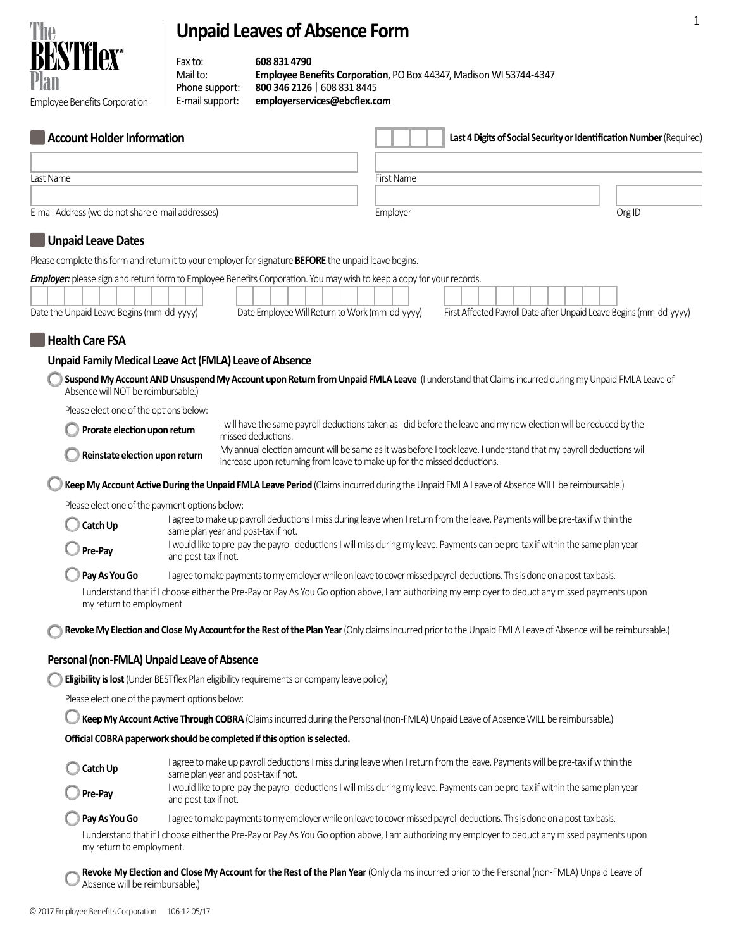# **Unpaid Leaves of Absence Form**



Fax to: **608 831 4790**  Mail to: **Employee Benefits Corporation**, PO Box 44347, Madison WI 53744-4347 Phone support: **800 346 2126** | 608 831 8445 Employee Benefits Corporation E-mail support: **employerservices@ebcflex.com**

| <b>Account Holder Information</b>                       |                                                                                                                                                                       | Last 4 Digits of Social Security or Identification Number (Required)                                                                                                    |                                                                                                                                                                                                |                                                                                                                                                              |  |  |
|---------------------------------------------------------|-----------------------------------------------------------------------------------------------------------------------------------------------------------------------|-------------------------------------------------------------------------------------------------------------------------------------------------------------------------|------------------------------------------------------------------------------------------------------------------------------------------------------------------------------------------------|--------------------------------------------------------------------------------------------------------------------------------------------------------------|--|--|
|                                                         |                                                                                                                                                                       |                                                                                                                                                                         |                                                                                                                                                                                                |                                                                                                                                                              |  |  |
| Last Name                                               |                                                                                                                                                                       |                                                                                                                                                                         | First Name                                                                                                                                                                                     |                                                                                                                                                              |  |  |
|                                                         |                                                                                                                                                                       |                                                                                                                                                                         |                                                                                                                                                                                                |                                                                                                                                                              |  |  |
| E-mail Address (we do not share e-mail addresses)       |                                                                                                                                                                       |                                                                                                                                                                         | Employer                                                                                                                                                                                       | Org ID                                                                                                                                                       |  |  |
| Unpaid Leave Dates                                      |                                                                                                                                                                       |                                                                                                                                                                         |                                                                                                                                                                                                |                                                                                                                                                              |  |  |
|                                                         |                                                                                                                                                                       | Please complete this form and return it to your employer for signature <b>BEFORE</b> the unpaid leave begins.                                                           |                                                                                                                                                                                                |                                                                                                                                                              |  |  |
| Date the Unpaid Leave Begins (mm-dd-yyyy)               |                                                                                                                                                                       | Employer: please sign and return form to Employee Benefits Corporation. You may wish to keep a copy for your records.<br>Date Employee Will Return to Work (mm-dd-yyyy) |                                                                                                                                                                                                | First Affected Payroll Date after Unpaid Leave Begins (mm-dd-yyyy)                                                                                           |  |  |
| <b>Health Care FSA</b>                                  |                                                                                                                                                                       |                                                                                                                                                                         |                                                                                                                                                                                                |                                                                                                                                                              |  |  |
| Unpaid Family Medical Leave Act (FMLA) Leave of Absence |                                                                                                                                                                       |                                                                                                                                                                         |                                                                                                                                                                                                |                                                                                                                                                              |  |  |
| Absence will NOT be reimbursable.)                      |                                                                                                                                                                       |                                                                                                                                                                         |                                                                                                                                                                                                | Suspend My Account AND Unsuspend My Account upon Return from Unpaid FMLA Leave (I understand that Claims incurred during my Unpaid FMLA Leave of             |  |  |
| Please elect one of the options below:                  |                                                                                                                                                                       |                                                                                                                                                                         |                                                                                                                                                                                                |                                                                                                                                                              |  |  |
| Prorate election upon return                            |                                                                                                                                                                       | missed deductions.                                                                                                                                                      |                                                                                                                                                                                                | I will have the same payroll deductions taken as I did before the leave and my new election will be reduced by the                                           |  |  |
|                                                         | Reinstate election upon return                                                                                                                                        |                                                                                                                                                                         | My annual election amount will be same as it was before I took leave. I understand that my payroll deductions will<br>increase upon returning from leave to make up for the missed deductions. |                                                                                                                                                              |  |  |
|                                                         |                                                                                                                                                                       |                                                                                                                                                                         |                                                                                                                                                                                                | Keep My Account Active During the Unpaid FMLA Leave Period (Claims incurred during the Unpaid FMLA Leave of Absence WILL be reimbursable.)                   |  |  |
| Please elect one of the payment options below:          |                                                                                                                                                                       |                                                                                                                                                                         |                                                                                                                                                                                                |                                                                                                                                                              |  |  |
| Catch Up                                                | I agree to make up payroll deductions I miss during leave when I return from the leave. Payments will be pre-tax if within the<br>same plan year and post-tax if not. |                                                                                                                                                                         |                                                                                                                                                                                                |                                                                                                                                                              |  |  |
| Pre-Pay                                                 | I would like to pre-pay the payroll deductions I will miss during my leave. Payments can be pre-tax if within the same plan year<br>and post-tax if not.              |                                                                                                                                                                         |                                                                                                                                                                                                |                                                                                                                                                              |  |  |
| Pay As You Go                                           |                                                                                                                                                                       |                                                                                                                                                                         |                                                                                                                                                                                                | I agree to make payments to my employer while on leave to cover missed payroll deductions. This is done on a post-tax basis.                                 |  |  |
| my return to employment                                 |                                                                                                                                                                       |                                                                                                                                                                         |                                                                                                                                                                                                | I understand that if I choose either the Pre-Pay or Pay As You Go option above, I am authorizing my employer to deduct any missed payments upon              |  |  |
|                                                         |                                                                                                                                                                       |                                                                                                                                                                         |                                                                                                                                                                                                | Revoke My Election and Close My Account for the Rest of the Plan Year (Only claims incurred prior to the Unpaid FMLA Leave of Absence will be reimbursable.) |  |  |
| Personal (non-FMLA) Unpaid Leave of Absence             |                                                                                                                                                                       |                                                                                                                                                                         |                                                                                                                                                                                                |                                                                                                                                                              |  |  |
|                                                         |                                                                                                                                                                       | <b>Eligibility is lost</b> (Under BESTflex Plan eligibility requirements or company leave policy)                                                                       |                                                                                                                                                                                                |                                                                                                                                                              |  |  |
| Please elect one of the payment options below:          |                                                                                                                                                                       |                                                                                                                                                                         |                                                                                                                                                                                                |                                                                                                                                                              |  |  |
|                                                         |                                                                                                                                                                       |                                                                                                                                                                         |                                                                                                                                                                                                | Keep My Account Active Through COBRA (Claims incurred during the Personal (non-FMLA) Unpaid Leave of Absence WILL be reimbursable.)                          |  |  |
|                                                         |                                                                                                                                                                       | Official COBRA paperwork should be completed if this option is selected.                                                                                                |                                                                                                                                                                                                |                                                                                                                                                              |  |  |
| Catch Up                                                |                                                                                                                                                                       | same plan year and post-tax if not.                                                                                                                                     |                                                                                                                                                                                                | I agree to make up payroll deductions I miss during leave when I return from the leave. Payments will be pre-tax if within the                               |  |  |
| Pre-Pay                                                 | and post-tax if not.                                                                                                                                                  |                                                                                                                                                                         |                                                                                                                                                                                                | I would like to pre-pay the payroll deductions I will miss during my leave. Payments can be pre-tax if within the same plan year                             |  |  |
| Pay As You Go                                           |                                                                                                                                                                       |                                                                                                                                                                         |                                                                                                                                                                                                | I agree to make payments to my employer while on leave to cover missed payroll deductions. This is done on a post-tax basis.                                 |  |  |
| my return to employment.                                |                                                                                                                                                                       |                                                                                                                                                                         |                                                                                                                                                                                                | I understand that if I choose either the Pre-Pay or Pay As You Go option above, I am authorizing my employer to deduct any missed payments upon              |  |  |
| Absence will be reimbursable.)                          |                                                                                                                                                                       |                                                                                                                                                                         |                                                                                                                                                                                                | Revoke My Election and Close My Account for the Rest of the Plan Year (Only claims incurred prior to the Personal (non-FMLA) Unpaid Leave of                 |  |  |